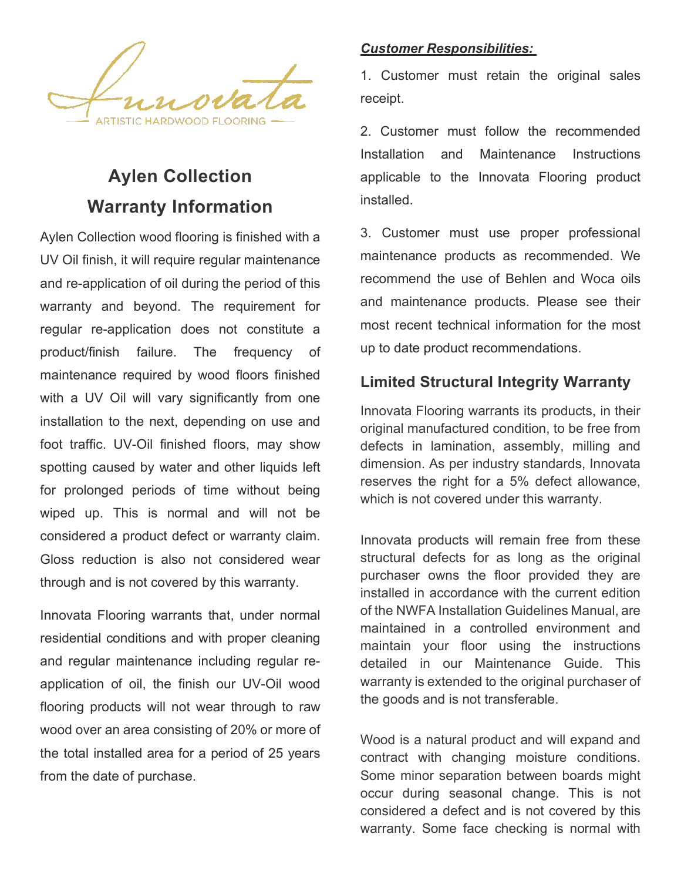

# **Aylen Collection Warranty Information**

Aylen Collection wood flooring is finished with a UV Oil finish, it will require regular maintenance and re-application of oil during the period of this warranty and beyond. The requirement for regular re-application does not constitute a product/finish failure. The frequency of maintenance required by wood floors finished with a UV Oil will vary significantly from one installation to the next, depending on use and foot traffic. UV-Oil finished floors, may show spotting caused by water and other liquids left for prolonged periods of time without being wiped up. This is normal and will not be considered a product defect or warranty claim. Gloss reduction is also not considered wear through and is not covered by this warranty.

Innovata Flooring warrants that, under normal residential conditions and with proper cleaning and regular maintenance including regular reapplication of oil, the finish our UV-Oil wood flooring products will not wear through to raw wood over an area consisting of 20% or more of the total installed area for a period of 25 years from the date of purchase.

#### *Customer Responsibilities:*

1. Customer must retain the original sales receipt.

2. Customer must follow the recommended Installation and Maintenance Instructions applicable to the Innovata Flooring product installed.

3. Customer must use proper professional maintenance products as recommended. We recommend the use of Behlen and Woca oils and maintenance products. Please see their most recent technical information for the most up to date product recommendations.

### **Limited Structural Integrity Warranty**

Innovata Flooring warrants its products, in their original manufactured condition, to be free from defects in lamination, assembly, milling and dimension. As per industry standards, Innovata reserves the right for a 5% defect allowance, which is not covered under this warranty.

Innovata products will remain free from these structural defects for as long as the original purchaser owns the floor provided they are installed in accordance with the current edition of the NWFA Installation Guidelines Manual, are maintained in a controlled environment and maintain your floor using the instructions detailed in our Maintenance Guide. This warranty is extended to the original purchaser of the goods and is not transferable.

Wood is a natural product and will expand and contract with changing moisture conditions. Some minor separation between boards might occur during seasonal change. This is not considered a defect and is not covered by this warranty. Some face checking is normal with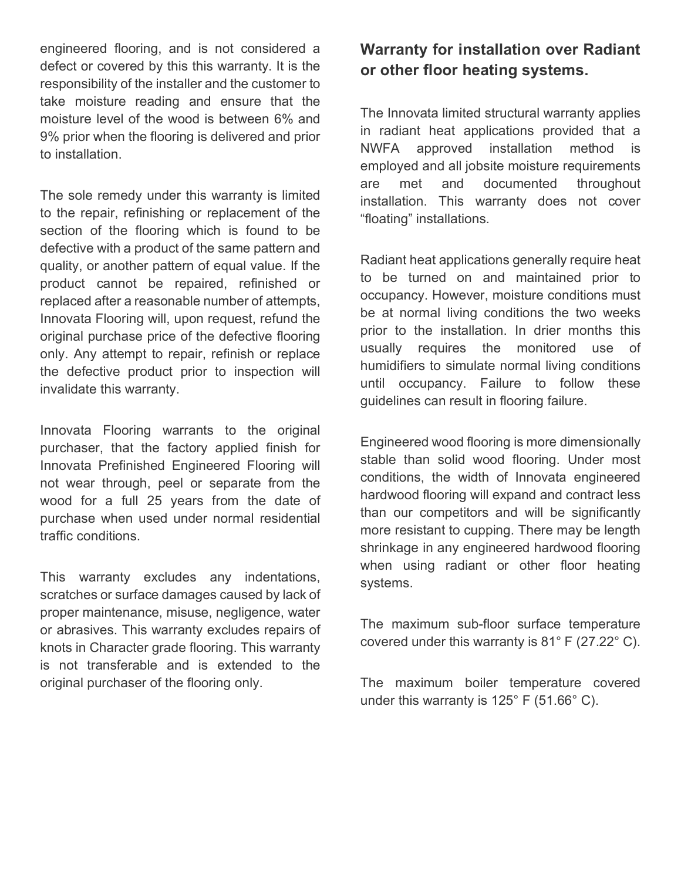engineered flooring, and is not considered a defect or covered by this this warranty. It is the responsibility of the installer and the customer to take moisture reading and ensure that the moisture level of the wood is between 6% and 9% prior when the flooring is delivered and prior to installation.

The sole remedy under this warranty is limited to the repair, refinishing or replacement of the section of the flooring which is found to be defective with a product of the same pattern and quality, or another pattern of equal value. If the product cannot be repaired, refinished or replaced after a reasonable number of attempts, Innovata Flooring will, upon request, refund the original purchase price of the defective flooring only. Any attempt to repair, refinish or replace the defective product prior to inspection will invalidate this warranty.

Innovata Flooring warrants to the original purchaser, that the factory applied finish for Innovata Prefinished Engineered Flooring will not wear through, peel or separate from the wood for a full 25 years from the date of purchase when used under normal residential traffic conditions.

This warranty excludes any indentations, scratches or surface damages caused by lack of proper maintenance, misuse, negligence, water or abrasives. This warranty excludes repairs of knots in Character grade flooring. This warranty is not transferable and is extended to the original purchaser of the flooring only.

### **Warranty for installation over Radiant or other floor heating systems.**

The Innovata limited structural warranty applies in radiant heat applications provided that a NWFA approved installation method is employed and all jobsite moisture requirements are met and documented throughout installation. This warranty does not cover "floating" installations.

Radiant heat applications generally require heat to be turned on and maintained prior to occupancy. However, moisture conditions must be at normal living conditions the two weeks prior to the installation. In drier months this usually requires the monitored use of humidifiers to simulate normal living conditions until occupancy. Failure to follow these guidelines can result in flooring failure.

Engineered wood flooring is more dimensionally stable than solid wood flooring. Under most conditions, the width of Innovata engineered hardwood flooring will expand and contract less than our competitors and will be significantly more resistant to cupping. There may be length shrinkage in any engineered hardwood flooring when using radiant or other floor heating systems.

The maximum sub-floor surface temperature covered under this warranty is 81° F (27.22° C).

The maximum boiler temperature covered under this warranty is 125° F (51.66° C).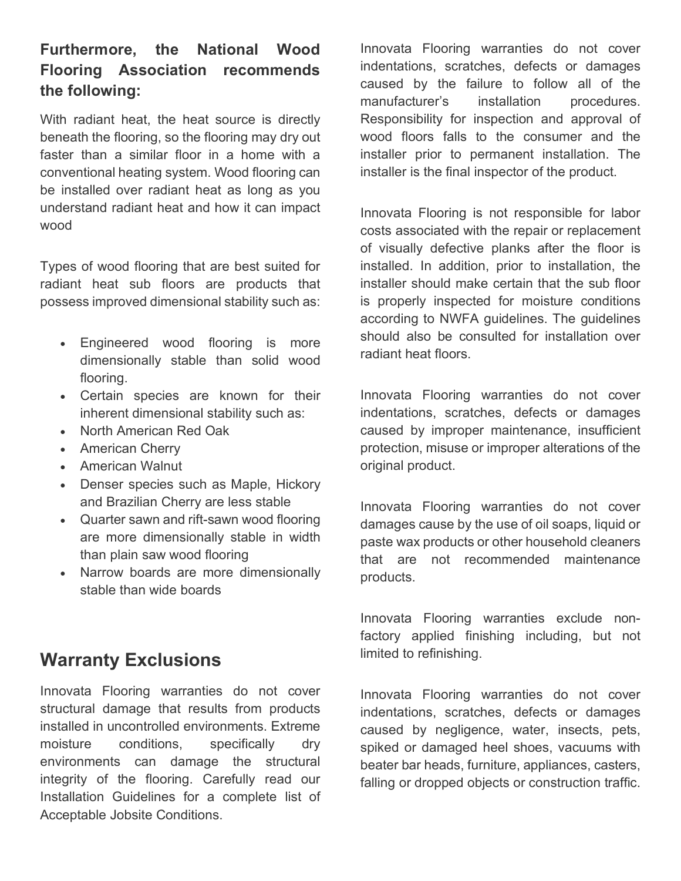### **Furthermore, the National Wood Flooring Association recommends the following:**

With radiant heat, the heat source is directly beneath the flooring, so the flooring may dry out faster than a similar floor in a home with a conventional heating system. Wood flooring can be installed over radiant heat as long as you understand radiant heat and how it can impact wood

Types of wood flooring that are best suited for radiant heat sub floors are products that possess improved dimensional stability such as:

- Engineered wood flooring is more dimensionally stable than solid wood flooring.
- Certain species are known for their inherent dimensional stability such as:
- North American Red Oak
- American Cherry
- American Walnut
- Denser species such as Maple, Hickory and Brazilian Cherry are less stable
- Quarter sawn and rift-sawn wood flooring are more dimensionally stable in width than plain saw wood flooring
- Narrow boards are more dimensionally stable than wide boards

# **Warranty Exclusions**

Innovata Flooring warranties do not cover structural damage that results from products installed in uncontrolled environments. Extreme moisture conditions, specifically dry environments can damage the structural integrity of the flooring. Carefully read our Installation Guidelines for a complete list of Acceptable Jobsite Conditions.

Innovata Flooring warranties do not cover indentations, scratches, defects or damages caused by the failure to follow all of the manufacturer's installation procedures. Responsibility for inspection and approval of wood floors falls to the consumer and the installer prior to permanent installation. The installer is the final inspector of the product.

Innovata Flooring is not responsible for labor costs associated with the repair or replacement of visually defective planks after the floor is installed. In addition, prior to installation, the installer should make certain that the sub floor is properly inspected for moisture conditions according to NWFA guidelines. The guidelines should also be consulted for installation over radiant heat floors.

Innovata Flooring warranties do not cover indentations, scratches, defects or damages caused by improper maintenance, insufficient protection, misuse or improper alterations of the original product.

Innovata Flooring warranties do not cover damages cause by the use of oil soaps, liquid or paste wax products or other household cleaners that are not recommended maintenance products.

Innovata Flooring warranties exclude nonfactory applied finishing including, but not limited to refinishing.

Innovata Flooring warranties do not cover indentations, scratches, defects or damages caused by negligence, water, insects, pets, spiked or damaged heel shoes, vacuums with beater bar heads, furniture, appliances, casters, falling or dropped objects or construction traffic.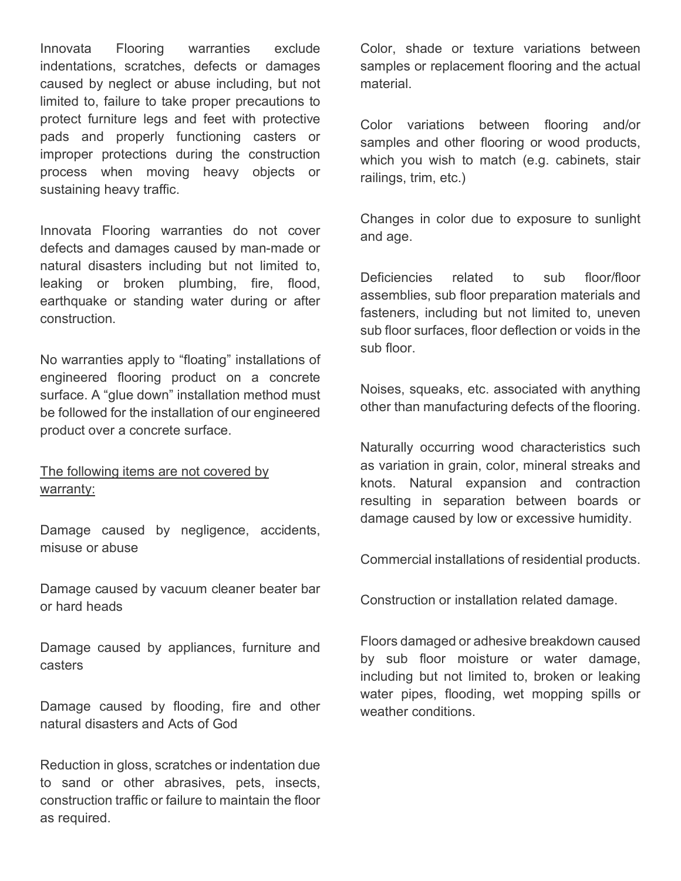Innovata Flooring warranties exclude indentations, scratches, defects or damages caused by neglect or abuse including, but not limited to, failure to take proper precautions to protect furniture legs and feet with protective pads and properly functioning casters or improper protections during the construction process when moving heavy objects or sustaining heavy traffic.

Innovata Flooring warranties do not cover defects and damages caused by man-made or natural disasters including but not limited to, leaking or broken plumbing, fire, flood, earthquake or standing water during or after construction.

No warranties apply to "floating" installations of engineered flooring product on a concrete surface. A "glue down" installation method must be followed for the installation of our engineered product over a concrete surface.

#### The following items are not covered by warranty:

Damage caused by negligence, accidents, misuse or abuse

Damage caused by vacuum cleaner beater bar or hard heads

Damage caused by appliances, furniture and casters

Damage caused by flooding, fire and other natural disasters and Acts of God

Reduction in gloss, scratches or indentation due to sand or other abrasives, pets, insects, construction traffic or failure to maintain the floor as required.

Color, shade or texture variations between samples or replacement flooring and the actual material.

Color variations between flooring and/or samples and other flooring or wood products, which you wish to match (e.g. cabinets, stair railings, trim, etc.)

Changes in color due to exposure to sunlight and age.

Deficiencies related to sub floor/floor assemblies, sub floor preparation materials and fasteners, including but not limited to, uneven sub floor surfaces, floor deflection or voids in the sub floor.

Noises, squeaks, etc. associated with anything other than manufacturing defects of the flooring.

Naturally occurring wood characteristics such as variation in grain, color, mineral streaks and knots. Natural expansion and contraction resulting in separation between boards or damage caused by low or excessive humidity.

Commercial installations of residential products.

Construction or installation related damage.

Floors damaged or adhesive breakdown caused by sub floor moisture or water damage, including but not limited to, broken or leaking water pipes, flooding, wet mopping spills or weather conditions.